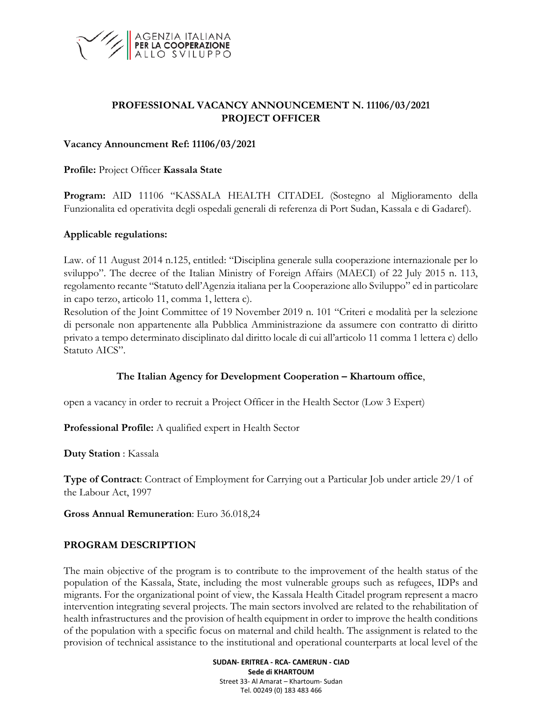

### **PROFESSIONAL VACANCY ANNOUNCEMENT N. 11106/03/2021 PROJECT OFFICER**

#### **Vacancy Announcment Ref: 11106/03/2021**

**Profile:** Project Officer **Kassala State**

**Program:** AID 11106 "KASSALA HEALTH CITADEL (Sostegno al Miglioramento della Funzionalita ed operativita degli ospedali generali di referenza di Port Sudan, Kassala e di Gadaref).

#### **Applicable regulations:**

Law. of 11 August 2014 n.125, entitled: "Disciplina generale sulla cooperazione internazionale per lo sviluppo". The decree of the Italian Ministry of Foreign Affairs (MAECI) of 22 July 2015 n. 113, regolamento recante "Statuto dell'Agenzia italiana per la Cooperazione allo Sviluppo" ed in particolare in capo terzo, articolo 11, comma 1, lettera c).

Resolution of the Joint Committee of 19 November 2019 n. 101 "Criteri e modalità per la selezione di personale non appartenente alla Pubblica Amministrazione da assumere con contratto di diritto privato a tempo determinato disciplinato dal diritto locale di cui all'articolo 11 comma 1 lettera c) dello Statuto AICS".

### **The Italian Agency for Development Cooperation – Khartoum office**,

open a vacancy in order to recruit a Project Officer in the Health Sector (Low 3 Expert)

**Professional Profile:** A qualified expert in Health Sector

**Duty Station** : Kassala

**Type of Contract**: Contract of Employment for Carrying out a Particular Job under article 29/1 of the Labour Act, 1997

**Gross Annual Remuneration**: Euro 36.018,24

### **PROGRAM DESCRIPTION**

The main objective of the program is to contribute to the improvement of the health status of the population of the Kassala, State, including the most vulnerable groups such as refugees, IDPs and migrants. For the organizational point of view, the Kassala Health Citadel program represent a macro intervention integrating several projects. The main sectors involved are related to the rehabilitation of health infrastructures and the provision of health equipment in order to improve the health conditions of the population with a specific focus on maternal and child health. The assignment is related to the provision of technical assistance to the institutional and operational counterparts at local level of the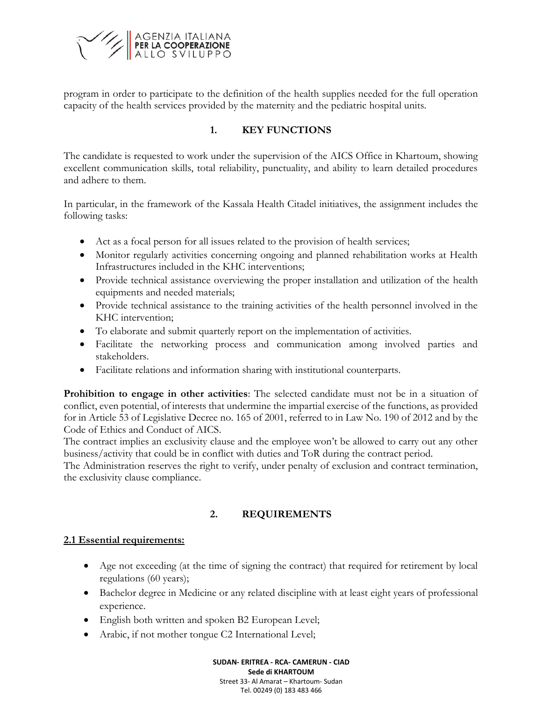

program in order to participate to the definition of the health supplies needed for the full operation capacity of the health services provided by the maternity and the pediatric hospital units.

### **1. KEY FUNCTIONS**

The candidate is requested to work under the supervision of the AICS Office in Khartoum, showing excellent communication skills, total reliability, punctuality, and ability to learn detailed procedures and adhere to them.

In particular, in the framework of the Kassala Health Citadel initiatives, the assignment includes the following tasks:

- Act as a focal person for all issues related to the provision of health services;
- Monitor regularly activities concerning ongoing and planned rehabilitation works at Health Infrastructures included in the KHC interventions;
- Provide technical assistance overviewing the proper installation and utilization of the health equipments and needed materials;
- Provide technical assistance to the training activities of the health personnel involved in the KHC intervention;
- To elaborate and submit quarterly report on the implementation of activities.
- Facilitate the networking process and communication among involved parties and stakeholders.
- Facilitate relations and information sharing with institutional counterparts.

**Prohibition to engage in other activities**: The selected candidate must not be in a situation of conflict, even potential, of interests that undermine the impartial exercise of the functions, as provided for in Article 53 of Legislative Decree no. 165 of 2001, referred to in Law No. 190 of 2012 and by the Code of Ethics and Conduct of AICS.

The contract implies an exclusivity clause and the employee won't be allowed to carry out any other business/activity that could be in conflict with duties and ToR during the contract period.

The Administration reserves the right to verify, under penalty of exclusion and contract termination, the exclusivity clause compliance.

# **2. REQUIREMENTS**

### **2.1 Essential requirements:**

- Age not exceeding (at the time of signing the contract) that required for retirement by local regulations (60 years);
- Bachelor degree in Medicine or any related discipline with at least eight years of professional experience.
- English both written and spoken B2 European Level;
- Arabic, if not mother tongue C2 International Level;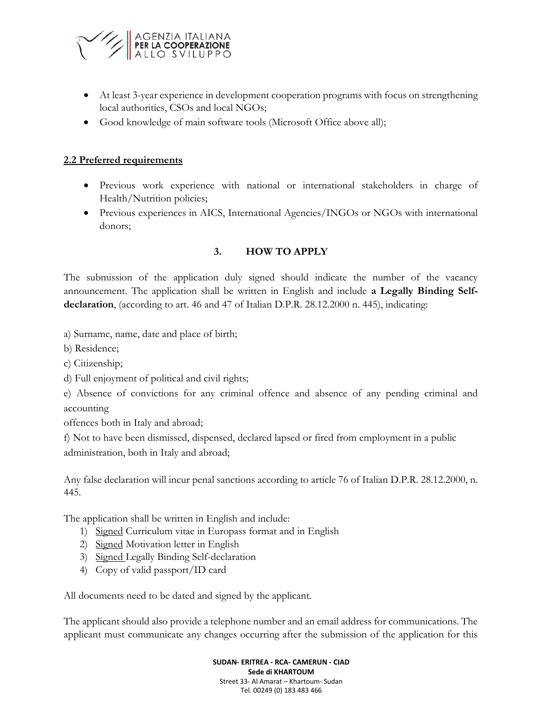

- At least 3-year experience in development cooperation programs with focus on strengthening local authorities, CSOs and local NGOs;
- Good knowledge of main software tools (Microsoft Office above all);

#### **2.2 Preferred requirements**

- Previous work experience with national or international stakeholders in charge of Health/Nutrition policies;
- Previous experiences in AICS, International Agencies/INGOs or NGOs with international donors;

### **3. HOW TO APPLY**

The submission of the application duly signed should indicate the number of the vacancy announcement. The application shall be written in English and include **a Legally Binding Selfdeclaration**, (according to art. 46 and 47 of Italian D.P.R. 28.12.2000 n. 445), indicating:

a) Surname, name, date and place of birth;

b) Residence;

c) Citizenship;

d) Full enjoyment of political and civil rights;

e) Absence of convictions for any criminal offence and absence of any pending criminal and accounting

offences both in Italy and abroad;

f) Not to have been dismissed, dispensed, declared lapsed or fired from employment in a public administration, both in Italy and abroad;

Any false declaration will incur penal sanctions according to article 76 of Italian D.P.R. 28.12.2000, n. 445.

The application shall be written in English and include:

- 1) Signed Curriculum vitae in Europass format and in English
- 2) Signed Motivation letter in English
- 3) Signed Legally Binding Self-declaration
- 4) Copy of valid passport/ID card

All documents need to be dated and signed by the applicant.

The applicant should also provide a telephone number and an email address for communications. The applicant must communicate any changes occurring after the submission of the application for this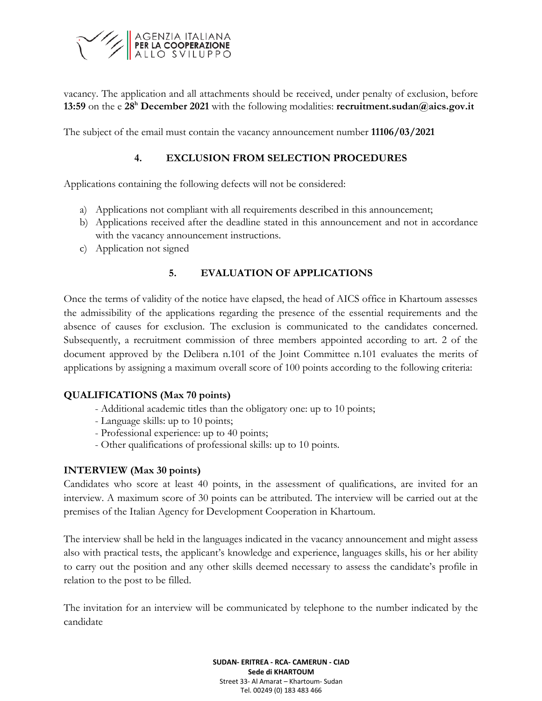

vacancy. The application and all attachments should be received, under penalty of exclusion, before **13:59** on the e **28 <sup>h</sup> December 2021** with the following modalities: **recruitment.sudan@aics.gov.it**

The subject of the email must contain the vacancy announcement number **11106/03/2021**

### **4. EXCLUSION FROM SELECTION PROCEDURES**

Applications containing the following defects will not be considered:

- a) Applications not compliant with all requirements described in this announcement;
- b) Applications received after the deadline stated in this announcement and not in accordance with the vacancy announcement instructions.
- c) Application not signed

# **5. EVALUATION OF APPLICATIONS**

Once the terms of validity of the notice have elapsed, the head of AICS office in Khartoum assesses the admissibility of the applications regarding the presence of the essential requirements and the absence of causes for exclusion. The exclusion is communicated to the candidates concerned. Subsequently, a recruitment commission of three members appointed according to art. 2 of the document approved by the Delibera n.101 of the Joint Committee n.101 evaluates the merits of applications by assigning a maximum overall score of 100 points according to the following criteria:

### **QUALIFICATIONS (Max 70 points)**

- Additional academic titles than the obligatory one: up to 10 points;
- Language skills: up to 10 points;
- Professional experience: up to 40 points;
- Other qualifications of professional skills: up to 10 points.

### **INTERVIEW (Max 30 points)**

Candidates who score at least 40 points, in the assessment of qualifications, are invited for an interview. A maximum score of 30 points can be attributed. The interview will be carried out at the premises of the Italian Agency for Development Cooperation in Khartoum.

The interview shall be held in the languages indicated in the vacancy announcement and might assess also with practical tests, the applicant's knowledge and experience, languages skills, his or her ability to carry out the position and any other skills deemed necessary to assess the candidate's profile in relation to the post to be filled.

The invitation for an interview will be communicated by telephone to the number indicated by the candidate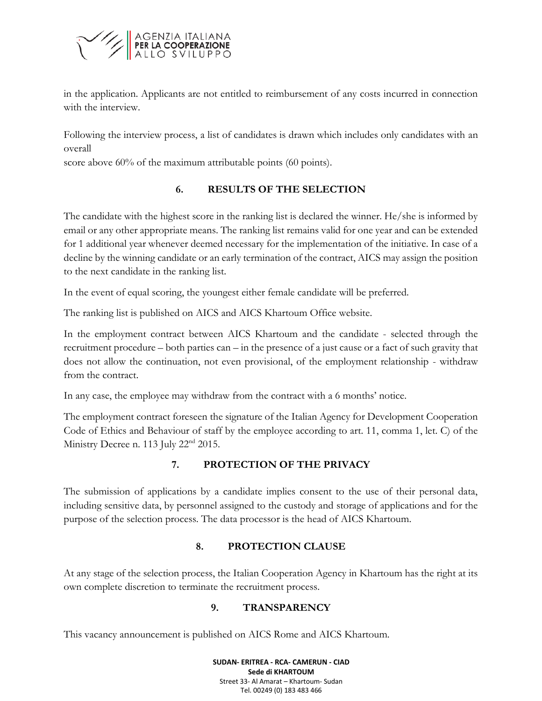

in the application. Applicants are not entitled to reimbursement of any costs incurred in connection with the interview.

Following the interview process, a list of candidates is drawn which includes only candidates with an overall

score above 60% of the maximum attributable points (60 points).

# **6. RESULTS OF THE SELECTION**

The candidate with the highest score in the ranking list is declared the winner. He/she is informed by email or any other appropriate means. The ranking list remains valid for one year and can be extended for 1 additional year whenever deemed necessary for the implementation of the initiative. In case of a decline by the winning candidate or an early termination of the contract, AICS may assign the position to the next candidate in the ranking list.

In the event of equal scoring, the youngest either female candidate will be preferred.

The ranking list is published on AICS and AICS Khartoum Office website.

In the employment contract between AICS Khartoum and the candidate - selected through the recruitment procedure – both parties can – in the presence of a just cause or a fact of such gravity that does not allow the continuation, not even provisional, of the employment relationship - withdraw from the contract.

In any case, the employee may withdraw from the contract with a 6 months' notice.

The employment contract foreseen the signature of the Italian Agency for Development Cooperation Code of Ethics and Behaviour of staff by the employee according to art. 11, comma 1, let. C) of the Ministry Decree n. 113 July 22<sup>nd</sup> 2015.

# **7. PROTECTION OF THE PRIVACY**

The submission of applications by a candidate implies consent to the use of their personal data, including sensitive data, by personnel assigned to the custody and storage of applications and for the purpose of the selection process. The data processor is the head of AICS Khartoum.

# **8. PROTECTION CLAUSE**

At any stage of the selection process, the Italian Cooperation Agency in Khartoum has the right at its own complete discretion to terminate the recruitment process.

### **9. TRANSPARENCY**

This vacancy announcement is published on AICS Rome and AICS Khartoum.